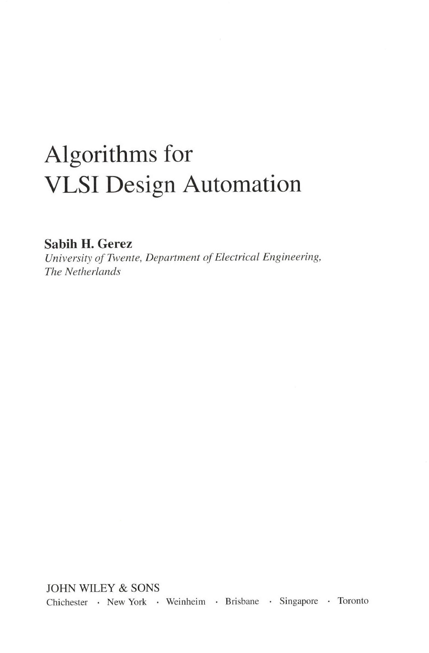# Algorithms for VLSI Design Automation

Sabih H. Gerez

University of Twente, Department of Electrical Engineering, The Netherlands

JOHN WILEY & SONS Chichester · New York · Weinheim · Brisbane · Singapore · Toronto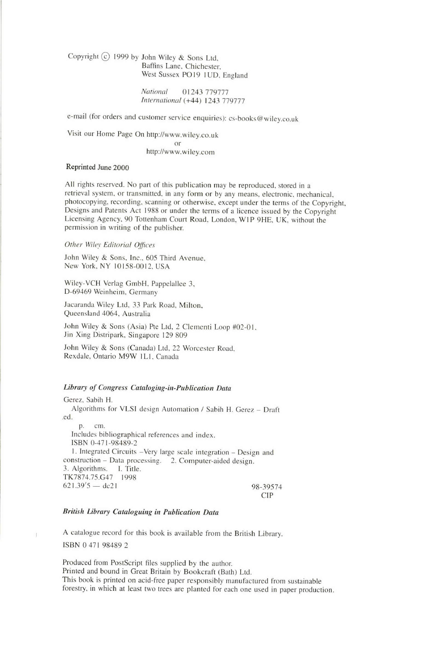Copyright  $\overline{c}$  1999 by John Wiley & Sons Ltd, Baffins Lane, Chichester. West Sussex PO19 1UD. England

> National 01243 779777 International (+44) 1243 779777

e-mail (for orders and customer service enquiries): cs-books@wiley.co.uk

Visit our Home Page On htrp://www.wiley.co.uk  $\overline{or}$ http://www.wiley.com

#### Reprinted June 2000

All rights reserved. No part of this publication may be reproduced, stored in <sup>a</sup> retrieval system, or transmitted, in any form or by any means, electronic, mechanical, photocopying, recording, scanning or otherwise, except under the terms of the Copyright, Designs and Patents Act 1988 or under the terms of a licence issued by the Copyright Licensing Agency, 90 Tottenham Court Road, London, WIP 9HE, UK, without the permission in writing of the publisher.

### Other Wiley Editorial Offices

John Wiley & Sons, Inc., 605 Third Avenue, New York, NY 10158-0012. USA

Wiley-VCH Verlag GmbH, Pappelallee 3, D-69469 Weinheim. Germany

Jacaranda Wiley Ltd, 33 Park Road, Milton, Queensland 4064, Australia

John Wiley & Sons (Asia) Pte Ltd, 2 Clementi Loop #02-01. Jin Xing Distripark, Singapore I29 809

John Wiley & Sons (Canada) Ltd, 22 Worcester Road, Rexdale, Ontario M9W lLl. Canada

#### Library of Congress Cataloging-in-Publication Data

Gerez. Sabih H. Algorithms for VLSI design Automation / Sabih H. Gerez - Draft .ed. p. cm. Includes bibliographical references and index. ISBN 0-471-98489-2 l. Integrated Circuits -Very large scale integration - Design and construction - Data processing. 2. Computer-aided design. 3. Algorithms. I. Title. TK7874.75.G47 1998  $621.39'5$  — 98-39574 CIP

#### British Library Cataloguing in Publication Data

A catalogue record for this book is available from the British Library. rsBN 0 471 98489 2

Produced from PostScript files supplied by the author. Printed and bound in Great Britain by Bookcrafr (Bath) Ltd. This book is printed on acid-free paper responsibly manufactured from sustainable forestry, in which at least two trees are planted for each one used in paper production.